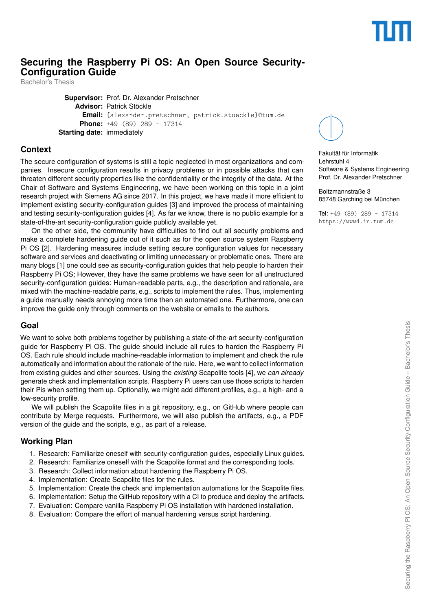# **Securing the Raspberry Pi OS: An Open Source Security-Configuration Guide**

Bachelor's Thesis

**Supervisor:** Prof. Dr. Alexander Pretschner **Advisor:** Patrick Stöckle **Email:** {alexander.pretschner, patrick.stoeckle}@tum.de **Phone:** +49 (89) 289 - 17314 **Starting date:** immediately

### **Context**

The secure configuration of systems is still a topic neglected in most organizations and companies. Insecure configuration results in privacy problems or in possible attacks that can threaten different security properties like the confidentiality or the integrity of the data. At the Chair of Software and Systems Engineering, we have been working on this topic in a joint research project with Siemens AG since 2017. In this project, we have made it more efficient to implement existing security-configuration guides [\[3\]](#page-1-0) and improved the process of maintaining and testing security-configuration guides [\[4\]](#page-1-1). As far we know, there is no public example for a state-of-the-art security-configuration guide publicly available yet.

On the other side, the community have difficulties to find out all security problems and make a complete hardening guide out of it such as for the open source system Raspberry Pi OS [\[2\]](#page-1-2). Hardening measures include setting secure configuration values for necessary software and services and deactivating or limiting unnecessary or problematic ones. There are many blogs [\[1\]](#page-1-3) one could see as security-configuration guides that help people to harden their Raspberry Pi OS; However, they have the same problems we have seen for all unstructured security-configuration guides: Human-readable parts, e.g., the description and rationale, are mixed with the machine-readable parts, e.g., scripts to implement the rules. Thus, implementing a guide manually needs annoying more time then an automated one. Furthermore, one can improve the guide only through comments on the website or emails to the authors.

### **Goal**

We want to solve both problems together by publishing a state-of-the-art security-configuration guide for Raspberry Pi OS. The guide should include all rules to harden the Raspberry Pi OS. Each rule should include machine-readable information to implement and check the rule automatically and information about the rationale of the rule. Here, we want to collect information from existing guides and other sources. Using the *existing* Scapolite tools [\[4\]](#page-1-1), we *can already* generate check and implementation scripts. Raspberry Pi users can use those scripts to harden their Pis when setting them up. Optionally, we might add different profiles, e.g., a high- and a low-security profile.

We will publish the Scapolite files in a git repository, e.g., on GitHub where people can contribute by Merge requests. Furthermore, we will also publish the artifacts, e.g., a PDF version of the guide and the scripts, e.g., as part of a release.

### **Working Plan**

- 1. Research: Familiarize oneself with security-configuration guides, especially Linux guides.
- 2. Research: Familiarize oneself with the Scapolite format and the corresponding tools.
- 3. Research: Collect information about hardening the Raspberry Pi OS.
- 4. Implementation: Create Scapolite files for the rules.
- 5. Implementation: Create the check and implementation automations for the Scapolite files.
- 6. Implementation: Setup the GitHub repository with a CI to produce and deploy the artifacts.
- 7. Evaluation: Compare vanilla Raspberry Pi OS installation with hardened installation.
- 8. Evaluation: Compare the effort of manual hardening versus script hardening.



Fakultät für Informatik Lehrstuhl 4 Software & Systems Engineering Prof. Dr. Alexander Pretschner

Boltzmannstraße 3 85748 Garching bei München

Tel: +49 (89) 289 - 17314 <https://www4.in.tum.de>